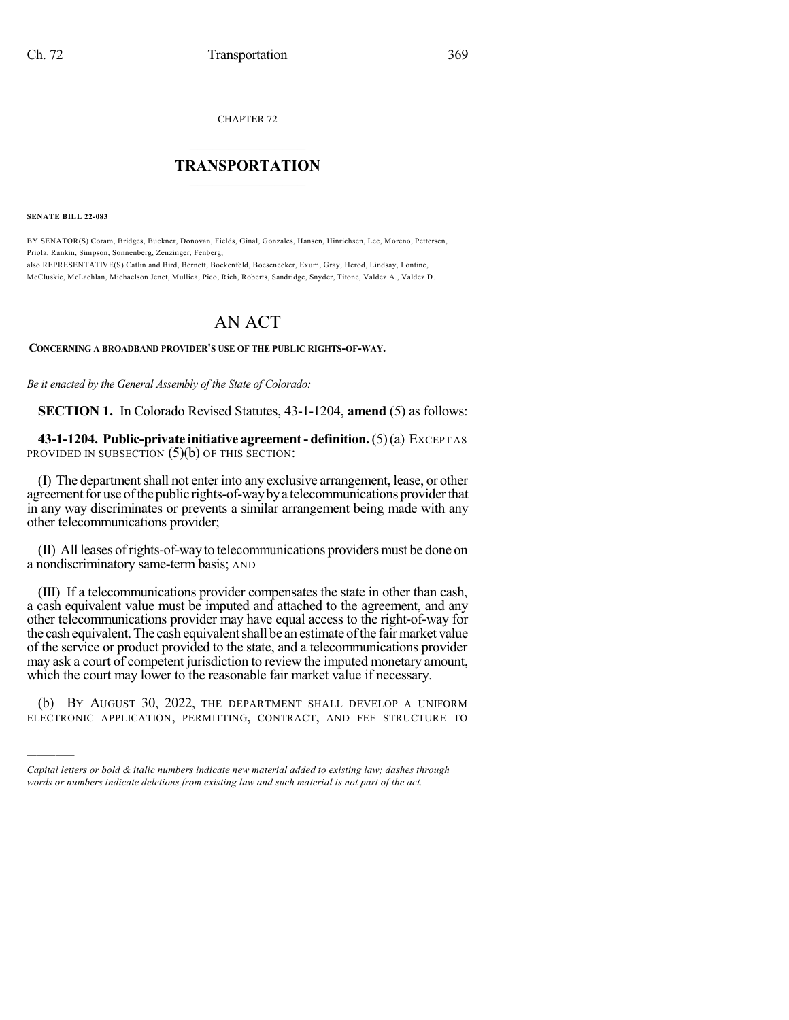CHAPTER 72

## $\mathcal{L}_\text{max}$  . The set of the set of the set of the set of the set of the set of the set of the set of the set of the set of the set of the set of the set of the set of the set of the set of the set of the set of the set **TRANSPORTATION**  $\_$   $\_$   $\_$   $\_$   $\_$   $\_$   $\_$   $\_$   $\_$

**SENATE BILL 22-083**

)))))

BY SENATOR(S) Coram, Bridges, Buckner, Donovan, Fields, Ginal, Gonzales, Hansen, Hinrichsen, Lee, Moreno, Pettersen, Priola, Rankin, Simpson, Sonnenberg, Zenzinger, Fenberg; also REPRESENTATIVE(S) Catlin and Bird, Bernett, Bockenfeld, Boesenecker, Exum, Gray, Herod, Lindsay, Lontine,

McCluskie, McLachlan, Michaelson Jenet, Mullica, Pico, Rich, Roberts, Sandridge, Snyder, Titone, Valdez A., Valdez D.

## AN ACT

## **CONCERNING A BROADBAND PROVIDER'S USE OF THE PUBLIC RIGHTS-OF-WAY.**

*Be it enacted by the General Assembly of the State of Colorado:*

**SECTION 1.** In Colorado Revised Statutes, 43-1-1204, **amend** (5) as follows:

**43-1-1204. Public-private initiative agreement- definition.**(5)(a) EXCEPT AS PROVIDED IN SUBSECTION (5)(b) OF THIS SECTION:

(I) The department shall not enter into any exclusive arrangement, lease, or other agreement for use of the public rights-of-way by a telecommunications provider that in any way discriminates or prevents a similar arrangement being made with any other telecommunications provider;

(II) All leases ofrights-of-way to telecommunications providers must be done on a nondiscriminatory same-term basis; AND

(III) If a telecommunications provider compensates the state in other than cash, a cash equivalent value must be imputed and attached to the agreement, and any other telecommunications provider may have equal access to the right-of-way for the cash equivalent. The cash equivalent shall be an estimate of the fair market value of the service or product provided to the state, and a telecommunications provider may ask a court of competent jurisdiction to review the imputed monetary amount, which the court may lower to the reasonable fair market value if necessary.

(b) BY AUGUST 30, 2022, THE DEPARTMENT SHALL DEVELOP A UNIFORM ELECTRONIC APPLICATION, PERMITTING, CONTRACT, AND FEE STRUCTURE TO

*Capital letters or bold & italic numbers indicate new material added to existing law; dashes through words or numbers indicate deletions from existing law and such material is not part of the act.*